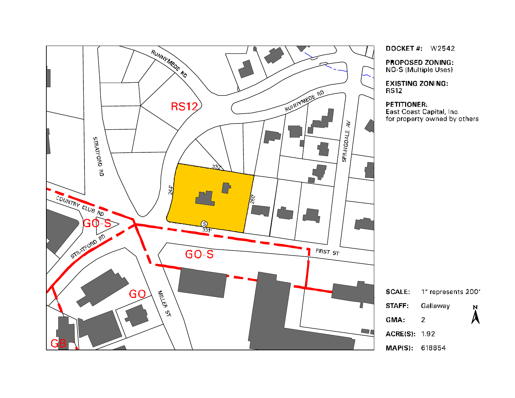

DOCKET#:  $W2542$ 

**PROPOSED ZONING:** NO-S (Multiple Uses)

**EXISTING ZONING: RS12** 

## PETITIONER:

East Coast Capital, Inc.<br>for property owned by others



MAP(S): 618854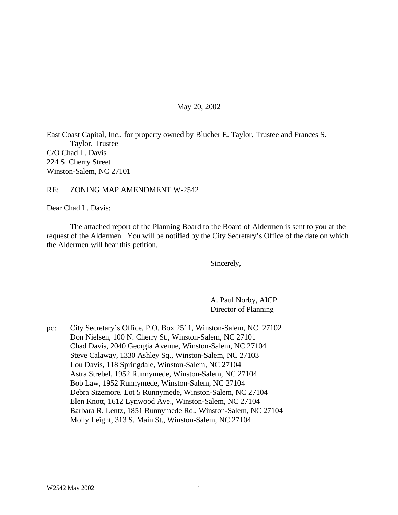### May 20, 2002

East Coast Capital, Inc., for property owned by Blucher E. Taylor, Trustee and Frances S. Taylor, Trustee C/O Chad L. Davis 224 S. Cherry Street Winston-Salem, NC 27101

#### RE: ZONING MAP AMENDMENT W-2542

Dear Chad L. Davis:

The attached report of the Planning Board to the Board of Aldermen is sent to you at the request of the Aldermen. You will be notified by the City Secretary's Office of the date on which the Aldermen will hear this petition.

Sincerely,

A. Paul Norby, AICP Director of Planning

pc: City Secretary's Office, P.O. Box 2511, Winston-Salem, NC 27102 Don Nielsen, 100 N. Cherry St., Winston-Salem, NC 27101 Chad Davis, 2040 Georgia Avenue, Winston-Salem, NC 27104 Steve Calaway, 1330 Ashley Sq., Winston-Salem, NC 27103 Lou Davis, 118 Springdale, Winston-Salem, NC 27104 Astra Strebel, 1952 Runnymede, Winston-Salem, NC 27104 Bob Law, 1952 Runnymede, Winston-Salem, NC 27104 Debra Sizemore, Lot 5 Runnymede, Winston-Salem, NC 27104 Elen Knott, 1612 Lynwood Ave., Winston-Salem, NC 27104 Barbara R. Lentz, 1851 Runnymede Rd., Winston-Salem, NC 27104 Molly Leight, 313 S. Main St., Winston-Salem, NC 27104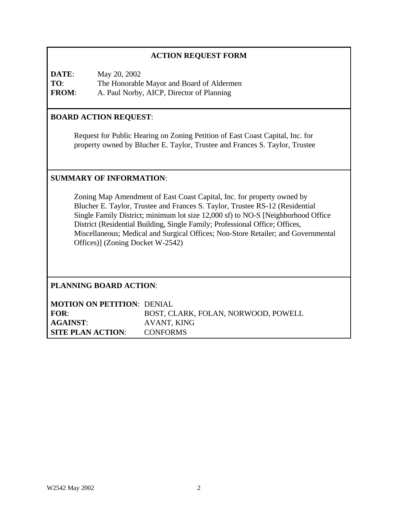# **ACTION REQUEST FORM**

**DATE**: May 20, 2002 **TO**: The Honorable Mayor and Board of Aldermen **FROM**: A. Paul Norby, AICP, Director of Planning

## **BOARD ACTION REQUEST**:

Request for Public Hearing on Zoning Petition of East Coast Capital, Inc. for property owned by Blucher E. Taylor, Trustee and Frances S. Taylor, Trustee

### **SUMMARY OF INFORMATION**:

Zoning Map Amendment of East Coast Capital, Inc. for property owned by Blucher E. Taylor, Trustee and Frances S. Taylor, Trustee RS-12 (Residential Single Family District; minimum lot size 12,000 sf) to NO-S [Neighborhood Office District (Residential Building, Single Family; Professional Office; Offices, Miscellaneous; Medical and Surgical Offices; Non-Store Retailer; and Governmental Offices)] (Zoning Docket W-2542)

**PLANNING BOARD ACTION**:

| <b>MOTION ON PETITION: DENIAL</b> |                                     |
|-----------------------------------|-------------------------------------|
| FOR:                              | BOST, CLARK, FOLAN, NORWOOD, POWELL |
| <b>AGAINST:</b>                   | AVANT, KING                         |
| <b>SITE PLAN ACTION:</b>          | <b>CONFORMS</b>                     |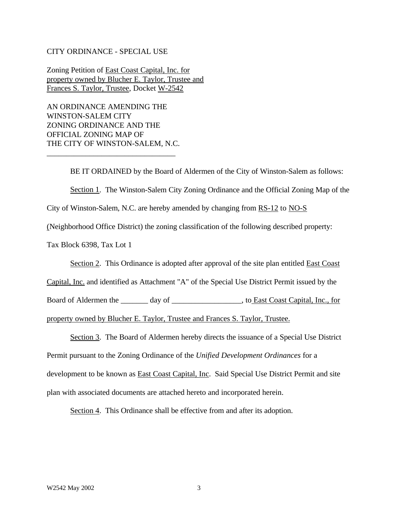#### CITY ORDINANCE - SPECIAL USE

Zoning Petition of East Coast Capital, Inc. for property owned by Blucher E. Taylor, Trustee and Frances S. Taylor, Trustee, Docket W-2542

AN ORDINANCE AMENDING THE WINSTON-SALEM CITY ZONING ORDINANCE AND THE OFFICIAL ZONING MAP OF THE CITY OF WINSTON-SALEM, N.C.

\_\_\_\_\_\_\_\_\_\_\_\_\_\_\_\_\_\_\_\_\_\_\_\_\_\_\_\_\_\_\_\_\_

BE IT ORDAINED by the Board of Aldermen of the City of Winston-Salem as follows: Section 1. The Winston-Salem City Zoning Ordinance and the Official Zoning Map of the City of Winston-Salem, N.C. are hereby amended by changing from RS-12 to NO-S (Neighborhood Office District) the zoning classification of the following described property: Tax Block 6398, Tax Lot 1

Section 2. This Ordinance is adopted after approval of the site plan entitled East Coast

Capital, Inc. and identified as Attachment "A" of the Special Use District Permit issued by the

Board of Aldermen the \_\_\_\_\_\_\_ day of \_\_\_\_\_\_\_\_\_\_\_\_\_\_\_\_\_\_, to East Coast Capital, Inc., for

property owned by Blucher E. Taylor, Trustee and Frances S. Taylor, Trustee.

Section 3. The Board of Aldermen hereby directs the issuance of a Special Use District Permit pursuant to the Zoning Ordinance of the *Unified Development Ordinances* for a development to be known as **East Coast Capital**, Inc. Said Special Use District Permit and site plan with associated documents are attached hereto and incorporated herein.

Section 4. This Ordinance shall be effective from and after its adoption.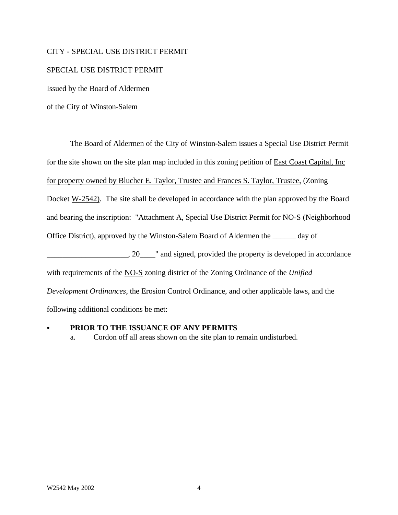### CITY - SPECIAL USE DISTRICT PERMIT

#### SPECIAL USE DISTRICT PERMIT

Issued by the Board of Aldermen

of the City of Winston-Salem

The Board of Aldermen of the City of Winston-Salem issues a Special Use District Permit for the site shown on the site plan map included in this zoning petition of East Coast Capital, Inc for property owned by Blucher E. Taylor, Trustee and Frances S. Taylor, Trustee, (Zoning Docket W-2542). The site shall be developed in accordance with the plan approved by the Board and bearing the inscription: "Attachment A, Special Use District Permit for NO-S (Neighborhood Office District), approved by the Winston-Salem Board of Aldermen the \_\_\_\_\_\_ day of  $\ldots$ , 20  $\ldots$  and signed, provided the property is developed in accordance with requirements of the NO-S zoning district of the Zoning Ordinance of the *Unified Development Ordinances*, the Erosion Control Ordinance, and other applicable laws, and the following additional conditions be met:

#### PRIOR TO THE ISSUANCE OF ANY PERMITS

a. Cordon off all areas shown on the site plan to remain undisturbed.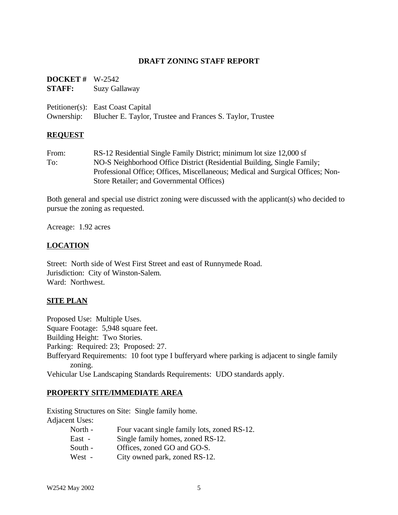### **DRAFT ZONING STAFF REPORT**

| <b>DOCKET</b> # $W-2542$<br>STAFF: | Suzy Gallaway                                                                                             |
|------------------------------------|-----------------------------------------------------------------------------------------------------------|
|                                    | Petitioner(s): East Coast Capital<br>Ownership: Blucher E. Taylor, Trustee and Frances S. Taylor, Trustee |

#### **REQUEST**

From: RS-12 Residential Single Family District; minimum lot size 12,000 sf To: NO-S Neighborhood Office District (Residential Building, Single Family; Professional Office; Offices, Miscellaneous; Medical and Surgical Offices; Non-Store Retailer; and Governmental Offices)

Both general and special use district zoning were discussed with the applicant(s) who decided to pursue the zoning as requested.

Acreage: 1.92 acres

## **LOCATION**

Street: North side of West First Street and east of Runnymede Road. Jurisdiction: City of Winston-Salem. Ward: Northwest.

### **SITE PLAN**

Proposed Use: Multiple Uses.

Square Footage: 5,948 square feet.

Building Height: Two Stories.

Parking: Required: 23; Proposed: 27.

Bufferyard Requirements: 10 foot type I bufferyard where parking is adjacent to single family zoning.

Vehicular Use Landscaping Standards Requirements: UDO standards apply.

### **PROPERTY SITE/IMMEDIATE AREA**

Existing Structures on Site: Single family home. Adjacent Uses:

| North - | Four vacant single family lots, zoned RS-12. |
|---------|----------------------------------------------|
| East -  | Single family homes, zoned RS-12.            |
| South - | Offices, zoned GO and GO-S.                  |
| West -  | City owned park, zoned RS-12.                |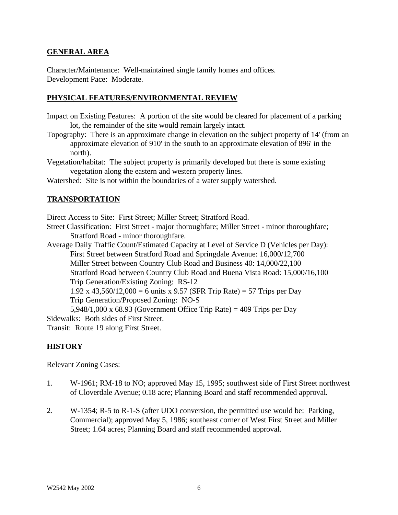## **GENERAL AREA**

Character/Maintenance: Well-maintained single family homes and offices. Development Pace: Moderate.

## **PHYSICAL FEATURES/ENVIRONMENTAL REVIEW**

- Impact on Existing Features: A portion of the site would be cleared for placement of a parking lot, the remainder of the site would remain largely intact.
- Topography: There is an approximate change in elevation on the subject property of 14' (from an approximate elevation of 910' in the south to an approximate elevation of 896' in the north).
- Vegetation/habitat: The subject property is primarily developed but there is some existing vegetation along the eastern and western property lines.
- Watershed: Site is not within the boundaries of a water supply watershed.

# **TRANSPORTATION**

Direct Access to Site: First Street; Miller Street; Stratford Road.

Street Classification: First Street - major thoroughfare; Miller Street - minor thoroughfare; Stratford Road - minor thoroughfare.

Average Daily Traffic Count/Estimated Capacity at Level of Service D (Vehicles per Day): First Street between Stratford Road and Springdale Avenue: 16,000/12,700

Miller Street between Country Club Road and Business 40: 14,000/22,100 Stratford Road between Country Club Road and Buena Vista Road: 15,000/16,100

Trip Generation/Existing Zoning: RS-12

1.92 x 43,560/12,000 = 6 units x 9.57 (SFR Trip Rate) = 57 Trips per Day

Trip Generation/Proposed Zoning: NO-S

5,948/1,000 x 68.93 (Government Office Trip Rate) = 409 Trips per Day Sidewalks: Both sides of First Street.

Transit: Route 19 along First Street.

# **HISTORY**

Relevant Zoning Cases:

- 1. W-1961; RM-18 to NO; approved May 15, 1995; southwest side of First Street northwest of Cloverdale Avenue; 0.18 acre; Planning Board and staff recommended approval.
- 2. W-1354; R-5 to R-1-S (after UDO conversion, the permitted use would be: Parking, Commercial); approved May 5, 1986; southeast corner of West First Street and Miller Street; 1.64 acres; Planning Board and staff recommended approval.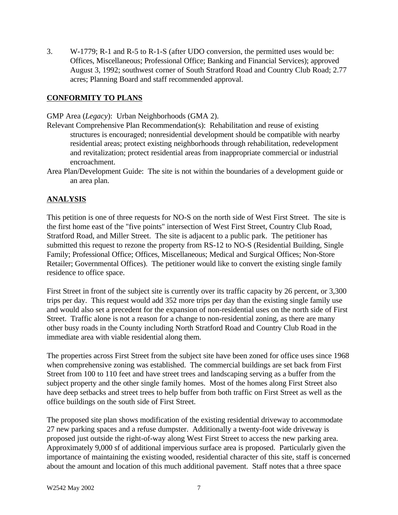3. W-1779; R-1 and R-5 to R-1-S (after UDO conversion, the permitted uses would be: Offices, Miscellaneous; Professional Office; Banking and Financial Services); approved August 3, 1992; southwest corner of South Stratford Road and Country Club Road; 2.77 acres; Planning Board and staff recommended approval.

# **CONFORMITY TO PLANS**

GMP Area (*Legacy*): Urban Neighborhoods (GMA 2).

- Relevant Comprehensive Plan Recommendation(s): Rehabilitation and reuse of existing structures is encouraged; nonresidential development should be compatible with nearby residential areas; protect existing neighborhoods through rehabilitation, redevelopment and revitalization; protect residential areas from inappropriate commercial or industrial encroachment.
- Area Plan/Development Guide: The site is not within the boundaries of a development guide or an area plan.

# **ANALYSIS**

This petition is one of three requests for NO-S on the north side of West First Street. The site is the first home east of the "five points" intersection of West First Street, Country Club Road, Stratford Road, and Miller Street. The site is adjacent to a public park. The petitioner has submitted this request to rezone the property from RS-12 to NO-S (Residential Building, Single Family; Professional Office; Offices, Miscellaneous; Medical and Surgical Offices; Non-Store Retailer; Governmental Offices). The petitioner would like to convert the existing single family residence to office space.

First Street in front of the subject site is currently over its traffic capacity by 26 percent, or 3,300 trips per day. This request would add 352 more trips per day than the existing single family use and would also set a precedent for the expansion of non-residential uses on the north side of First Street. Traffic alone is not a reason for a change to non-residential zoning, as there are many other busy roads in the County including North Stratford Road and Country Club Road in the immediate area with viable residential along them.

The properties across First Street from the subject site have been zoned for office uses since 1968 when comprehensive zoning was established. The commercial buildings are set back from First Street from 100 to 110 feet and have street trees and landscaping serving as a buffer from the subject property and the other single family homes. Most of the homes along First Street also have deep setbacks and street trees to help buffer from both traffic on First Street as well as the office buildings on the south side of First Street.

The proposed site plan shows modification of the existing residential driveway to accommodate 27 new parking spaces and a refuse dumpster. Additionally a twenty-foot wide driveway is proposed just outside the right-of-way along West First Street to access the new parking area. Approximately 9,000 sf of additional impervious surface area is proposed. Particularly given the importance of maintaining the existing wooded, residential character of this site, staff is concerned about the amount and location of this much additional pavement. Staff notes that a three space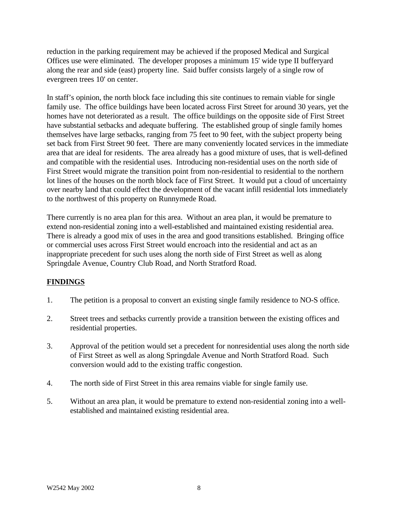reduction in the parking requirement may be achieved if the proposed Medical and Surgical Offices use were eliminated. The developer proposes a minimum 15' wide type II bufferyard along the rear and side (east) property line. Said buffer consists largely of a single row of evergreen trees 10' on center.

In staff's opinion, the north block face including this site continues to remain viable for single family use. The office buildings have been located across First Street for around 30 years, yet the homes have not deteriorated as a result. The office buildings on the opposite side of First Street have substantial setbacks and adequate buffering. The established group of single family homes themselves have large setbacks, ranging from 75 feet to 90 feet, with the subject property being set back from First Street 90 feet. There are many conveniently located services in the immediate area that are ideal for residents. The area already has a good mixture of uses, that is well-defined and compatible with the residential uses. Introducing non-residential uses on the north side of First Street would migrate the transition point from non-residential to residential to the northern lot lines of the houses on the north block face of First Street. It would put a cloud of uncertainty over nearby land that could effect the development of the vacant infill residential lots immediately to the northwest of this property on Runnymede Road.

There currently is no area plan for this area. Without an area plan, it would be premature to extend non-residential zoning into a well-established and maintained existing residential area. There is already a good mix of uses in the area and good transitions established. Bringing office or commercial uses across First Street would encroach into the residential and act as an inappropriate precedent for such uses along the north side of First Street as well as along Springdale Avenue, Country Club Road, and North Stratford Road.

# **FINDINGS**

- 1. The petition is a proposal to convert an existing single family residence to NO-S office.
- 2. Street trees and setbacks currently provide a transition between the existing offices and residential properties.
- 3. Approval of the petition would set a precedent for nonresidential uses along the north side of First Street as well as along Springdale Avenue and North Stratford Road. Such conversion would add to the existing traffic congestion.
- 4. The north side of First Street in this area remains viable for single family use.
- 5. Without an area plan, it would be premature to extend non-residential zoning into a wellestablished and maintained existing residential area.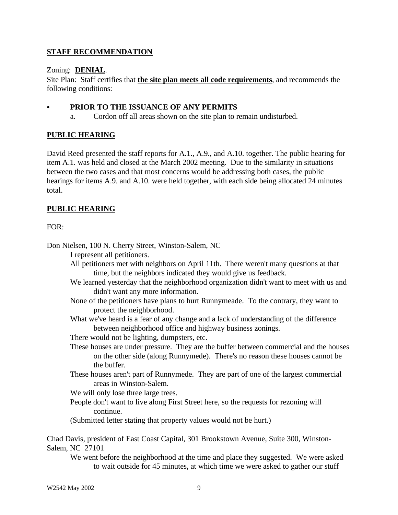# **STAFF RECOMMENDATION**

## Zoning: **DENIAL**.

Site Plan: Staff certifies that **the site plan meets all code requirements**, and recommends the following conditions:

## PRIOR TO THE ISSUANCE OF ANY PERMITS

a. Cordon off all areas shown on the site plan to remain undisturbed.

# **PUBLIC HEARING**

David Reed presented the staff reports for A.1., A.9., and A.10. together. The public hearing for item A.1. was held and closed at the March 2002 meeting. Due to the similarity in situations between the two cases and that most concerns would be addressing both cases, the public hearings for items A.9. and A.10. were held together, with each side being allocated 24 minutes total.

# **PUBLIC HEARING**

# $FOR:$

Don Nielsen, 100 N. Cherry Street, Winston-Salem, NC

I represent all petitioners.

All petitioners met with neighbors on April 11th. There weren't many questions at that time, but the neighbors indicated they would give us feedback.

- We learned yesterday that the neighborhood organization didn't want to meet with us and didn't want any more information.
- None of the petitioners have plans to hurt Runnymeade. To the contrary, they want to protect the neighborhood.
- What we've heard is a fear of any change and a lack of understanding of the difference between neighborhood office and highway business zonings.
- There would not be lighting, dumpsters, etc.
- These houses are under pressure. They are the buffer between commercial and the houses on the other side (along Runnymede). There's no reason these houses cannot be the buffer.
- These houses aren't part of Runnymede. They are part of one of the largest commercial areas in Winston-Salem.

We will only lose three large trees.

People don't want to live along First Street here, so the requests for rezoning will continue.

(Submitted letter stating that property values would not be hurt.)

Chad Davis, president of East Coast Capital, 301 Brookstown Avenue, Suite 300, Winston-Salem, NC 27101

We went before the neighborhood at the time and place they suggested. We were asked to wait outside for 45 minutes, at which time we were asked to gather our stuff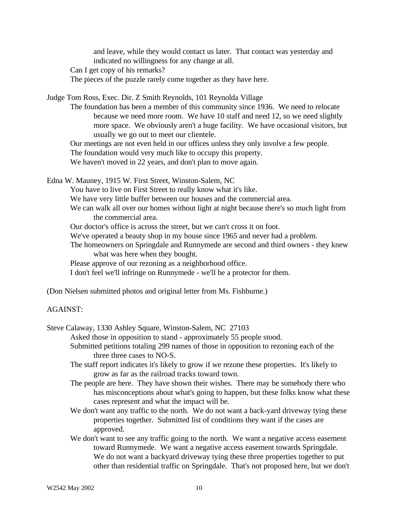and leave, while they would contact us later. That contact was yesterday and indicated no willingness for any change at all.

Can I get copy of his remarks?

The pieces of the puzzle rarely come together as they have here.

Judge Tom Ross, Exec. Dir. Z Smith Reynolds, 101 Reynolda Village

The foundation has been a member of this community since 1936. We need to relocate because we need more room. We have 10 staff and need 12, so we need slightly more space. We obviously aren't a huge facility. We have occasional visitors, but usually we go out to meet our clientele.

Our meetings are not even held in our offices unless they only involve a few people.

The foundation would very much like to occupy this property.

We haven't moved in 22 years, and don't plan to move again.

Edna W. Mauney, 1915 W. First Street, Winston-Salem, NC

You have to live on First Street to really know what it's like.

We have very little buffer between our houses and the commercial area.

We can walk all over our homes without light at night because there's so much light from the commercial area.

Our doctor's office is across the street, but we can't cross it on foot.

We've operated a beauty shop in my house since 1965 and never had a problem.

The homeowners on Springdale and Runnymede are second and third owners - they knew what was here when they bought.

Please approve of our rezoning as a neighborhood office.

I don't feel we'll infringe on Runnymede - we'll be a protector for them.

(Don Nielsen submitted photos and original letter from Ms. Fishburne.)

#### AGAINST:

Steve Calaway, 1330 Ashley Square, Winston-Salem, NC 27103

Asked those in opposition to stand - approximately 55 people stood.

- Submitted petitions totaling 299 names of those in opposition to rezoning each of the three three cases to NO-S.
- The staff report indicates it's likely to grow if we rezone these properties. It's likely to grow as far as the railroad tracks toward town.
- The people are here. They have shown their wishes. There may be somebody there who has misconceptions about what's going to happen, but these folks know what these cases represent and what the impact will be.
- We don't want any traffic to the north. We do not want a back-yard driveway tying these properties together. Submitted list of conditions they want if the cases are approved.
- We don't want to see any traffic going to the north. We want a negative access easement toward Runnymede. We want a negative access easement towards Springdale. We do not want a backyard driveway tying these three properties together to put other than residential traffic on Springdale. That's not proposed here, but we don't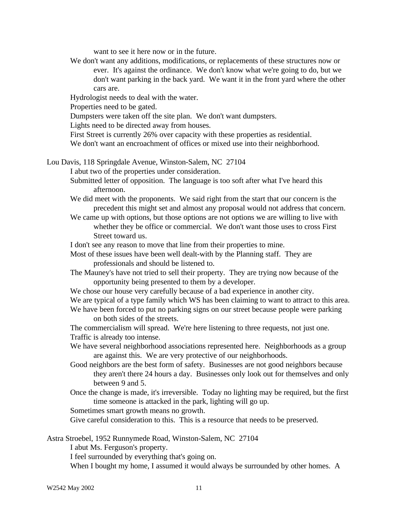want to see it here now or in the future.

We don't want any additions, modifications, or replacements of these structures now or ever. It's against the ordinance. We don't know what we're going to do, but we don't want parking in the back yard. We want it in the front yard where the other cars are.

Hydrologist needs to deal with the water.

Properties need to be gated.

Dumpsters were taken off the site plan. We don't want dumpsters.

Lights need to be directed away from houses.

First Street is currently 26% over capacity with these properties as residential.

We don't want an encroachment of offices or mixed use into their neighborhood.

Lou Davis, 118 Springdale Avenue, Winston-Salem, NC 27104

I abut two of the properties under consideration.

- Submitted letter of opposition. The language is too soft after what I've heard this afternoon.
- We did meet with the proponents. We said right from the start that our concern is the precedent this might set and almost any proposal would not address that concern.
- We came up with options, but those options are not options we are willing to live with whether they be office or commercial. We don't want those uses to cross First Street toward us.
- I don't see any reason to move that line from their properties to mine.
- Most of these issues have been well dealt-with by the Planning staff. They are professionals and should be listened to.
- The Mauney's have not tried to sell their property. They are trying now because of the opportunity being presented to them by a developer.
- We chose our house very carefully because of a bad experience in another city.

We are typical of a type family which WS has been claiming to want to attract to this area.

We have been forced to put no parking signs on our street because people were parking on both sides of the streets.

The commercialism will spread. We're here listening to three requests, not just one. Traffic is already too intense.

- We have several neighborhood associations represented here. Neighborhoods as a group are against this. We are very protective of our neighborhoods.
- Good neighbors are the best form of safety. Businesses are not good neighbors because they aren't there 24 hours a day. Businesses only look out for themselves and only between 9 and 5.
- Once the change is made, it's irreversible. Today no lighting may be required, but the first time someone is attacked in the park, lighting will go up.

Sometimes smart growth means no growth.

Give careful consideration to this. This is a resource that needs to be preserved.

Astra Stroebel, 1952 Runnymede Road, Winston-Salem, NC 27104

I abut Ms. Ferguson's property.

I feel surrounded by everything that's going on.

When I bought my home, I assumed it would always be surrounded by other homes. A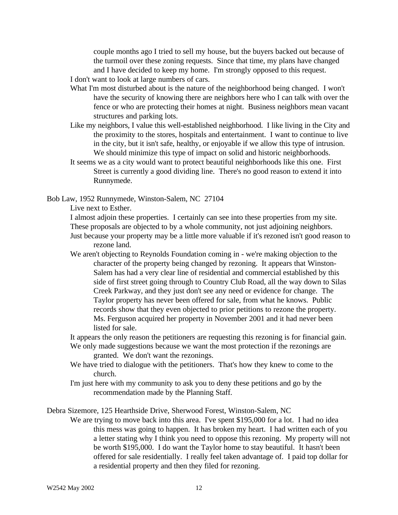couple months ago I tried to sell my house, but the buyers backed out because of the turmoil over these zoning requests. Since that time, my plans have changed and I have decided to keep my home. I'm strongly opposed to this request.

- I don't want to look at large numbers of cars.
- What I'm most disturbed about is the nature of the neighborhood being changed. I won't have the security of knowing there are neighbors here who I can talk with over the fence or who are protecting their homes at night. Business neighbors mean vacant structures and parking lots.
- Like my neighbors, I value this well-established neighborhood. I like living in the City and the proximity to the stores, hospitals and entertainment. I want to continue to live in the city, but it isn't safe, healthy, or enjoyable if we allow this type of intrusion. We should minimize this type of impact on solid and historic neighborhoods.
- It seems we as a city would want to protect beautiful neighborhoods like this one. First Street is currently a good dividing line. There's no good reason to extend it into Runnymede.

Bob Law, 1952 Runnymede, Winston-Salem, NC 27104

Live next to Esther.

I almost adjoin these properties. I certainly can see into these properties from my site. These proposals are objected to by a whole community, not just adjoining neighbors.

Just because your property may be a little more valuable if it's rezoned isn't good reason to rezone land.

We aren't objecting to Reynolds Foundation coming in - we're making objection to the character of the property being changed by rezoning. It appears that Winston-Salem has had a very clear line of residential and commercial established by this side of first street going through to Country Club Road, all the way down to Silas Creek Parkway, and they just don't see any need or evidence for change. The Taylor property has never been offered for sale, from what he knows. Public records show that they even objected to prior petitions to rezone the property. Ms. Ferguson acquired her property in November 2001 and it had never been listed for sale.

It appears the only reason the petitioners are requesting this rezoning is for financial gain.

- We only made suggestions because we want the most protection if the rezonings are granted. We don't want the rezonings.
- We have tried to dialogue with the petitioners. That's how they knew to come to the church.
- I'm just here with my community to ask you to deny these petitions and go by the recommendation made by the Planning Staff.

Debra Sizemore, 125 Hearthside Drive, Sherwood Forest, Winston-Salem, NC

We are trying to move back into this area. I've spent \$195,000 for a lot. I had no idea this mess was going to happen. It has broken my heart. I had written each of you a letter stating why I think you need to oppose this rezoning. My property will not be worth \$195,000. I do want the Taylor home to stay beautiful. It hasn't been offered for sale residentially. I really feel taken advantage of. I paid top dollar for a residential property and then they filed for rezoning.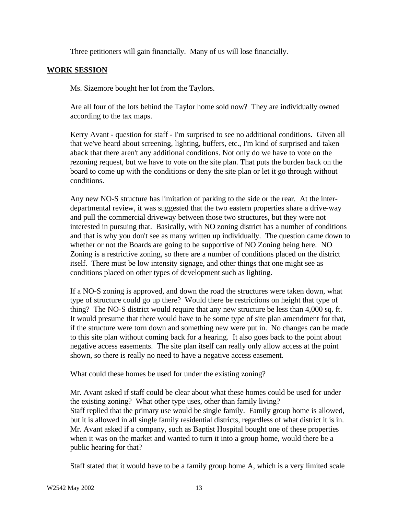Three petitioners will gain financially. Many of us will lose financially.

## **WORK SESSION**

Ms. Sizemore bought her lot from the Taylors.

Are all four of the lots behind the Taylor home sold now? They are individually owned according to the tax maps.

Kerry Avant - question for staff - I'm surprised to see no additional conditions. Given all that we've heard about screening, lighting, buffers, etc., I'm kind of surprised and taken aback that there aren't any additional conditions. Not only do we have to vote on the rezoning request, but we have to vote on the site plan. That puts the burden back on the board to come up with the conditions or deny the site plan or let it go through without conditions.

Any new NO-S structure has limitation of parking to the side or the rear. At the interdepartmental review, it was suggested that the two eastern properties share a drive-way and pull the commercial driveway between those two structures, but they were not interested in pursuing that. Basically, with NO zoning district has a number of conditions and that is why you don't see as many written up individually. The question came down to whether or not the Boards are going to be supportive of NO Zoning being here. NO Zoning is a restrictive zoning, so there are a number of conditions placed on the district itself. There must be low intensity signage, and other things that one might see as conditions placed on other types of development such as lighting.

If a NO-S zoning is approved, and down the road the structures were taken down, what type of structure could go up there? Would there be restrictions on height that type of thing? The NO-S district would require that any new structure be less than 4,000 sq. ft. It would presume that there would have to be some type of site plan amendment for that, if the structure were torn down and something new were put in. No changes can be made to this site plan without coming back for a hearing. It also goes back to the point about negative access easements. The site plan itself can really only allow access at the point shown, so there is really no need to have a negative access easement.

What could these homes be used for under the existing zoning?

Mr. Avant asked if staff could be clear about what these homes could be used for under the existing zoning? What other type uses, other than family living? Staff replied that the primary use would be single family. Family group home is allowed, but it is allowed in all single family residential districts, regardless of what district it is in. Mr. Avant asked if a company, such as Baptist Hospital bought one of these properties when it was on the market and wanted to turn it into a group home, would there be a public hearing for that?

Staff stated that it would have to be a family group home A, which is a very limited scale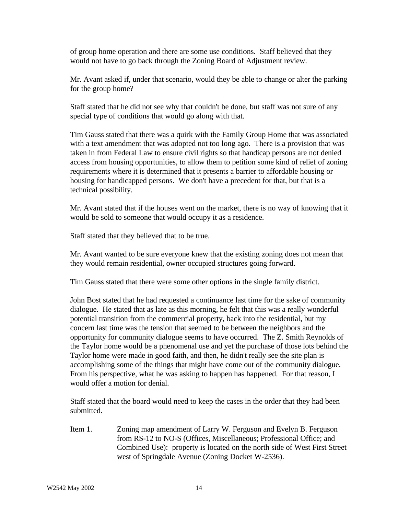of group home operation and there are some use conditions. Staff believed that they would not have to go back through the Zoning Board of Adjustment review.

Mr. Avant asked if, under that scenario, would they be able to change or alter the parking for the group home?

Staff stated that he did not see why that couldn't be done, but staff was not sure of any special type of conditions that would go along with that.

Tim Gauss stated that there was a quirk with the Family Group Home that was associated with a text amendment that was adopted not too long ago. There is a provision that was taken in from Federal Law to ensure civil rights so that handicap persons are not denied access from housing opportunities, to allow them to petition some kind of relief of zoning requirements where it is determined that it presents a barrier to affordable housing or housing for handicapped persons. We don't have a precedent for that, but that is a technical possibility.

Mr. Avant stated that if the houses went on the market, there is no way of knowing that it would be sold to someone that would occupy it as a residence.

Staff stated that they believed that to be true.

Mr. Avant wanted to be sure everyone knew that the existing zoning does not mean that they would remain residential, owner occupied structures going forward.

Tim Gauss stated that there were some other options in the single family district.

John Bost stated that he had requested a continuance last time for the sake of community dialogue. He stated that as late as this morning, he felt that this was a really wonderful potential transition from the commercial property, back into the residential, but my concern last time was the tension that seemed to be between the neighbors and the opportunity for community dialogue seems to have occurred. The Z. Smith Reynolds of the Taylor home would be a phenomenal use and yet the purchase of those lots behind the Taylor home were made in good faith, and then, he didn't really see the site plan is accomplishing some of the things that might have come out of the community dialogue. From his perspective, what he was asking to happen has happened. For that reason, I would offer a motion for denial.

Staff stated that the board would need to keep the cases in the order that they had been submitted.

Item 1. Zoning map amendment of Larry W. Ferguson and Evelyn B. Ferguson from RS-12 to NO-S (Offices, Miscellaneous; Professional Office; and Combined Use): property is located on the north side of West First Street west of Springdale Avenue (Zoning Docket W-2536).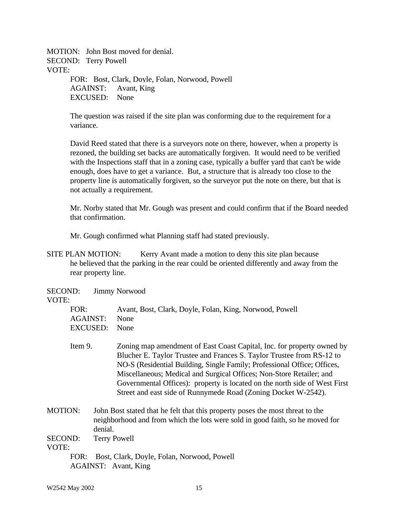MOTION: John Bost moved for denial. SECOND: Terry Powell VOTE: FOR: Bost, Clark, Doyle, Folan, Norwood, Powell AGAINST: Avant, King EXCUSED: None

> The question was raised if the site plan was conforming due to the requirement for a variance.

David Reed stated that there is a surveyors note on there, however, when a property is rezoned, the building set backs are automatically forgiven. It would need to be verified with the Inspections staff that in a zoning case, typically a buffer yard that can't be wide enough, does have to get a variance. But, a structure that is already too close to the property line is automatically forgiven, so the surveyor put the note on there, but that is not actually a requirement.

Mr. Norby stated that Mr. Gough was present and could confirm that if the Board needed that confirmation.

Mr. Gough confirmed what Planning staff had stated previously.

SITE PLAN MOTION: Kerry Avant made a motion to deny this site plan because he believed that the parking in the rear could be oriented differently and away from the rear property line.

SECOND: Jimmy Norwood

### VOTE:

| FOR:          | Avant, Bost, Clark, Doyle, Folan, King, Norwood, Powell |
|---------------|---------------------------------------------------------|
| AGAINST: None |                                                         |
| EXCUSED: None |                                                         |

- Item 9. Zoning map amendment of East Coast Capital, Inc. for property owned by Blucher E. Taylor Trustee and Frances S. Taylor Trustee from RS-12 to NO-S (Residential Building, Single Family; Professional Office; Offices, Miscellaneous; Medical and Surgical Offices; Non-Store Retailer; and Governmental Offices): property is located on the north side of West First Street and east side of Runnymede Road (Zoning Docket W-2542).
- MOTION: John Bost stated that he felt that this property poses the most threat to the neighborhood and from which the lots were sold in good faith, so he moved for denial.

SECOND: Terry Powell

VOTE:

FOR: Bost, Clark, Doyle, Folan, Norwood, Powell AGAINST: Avant, King